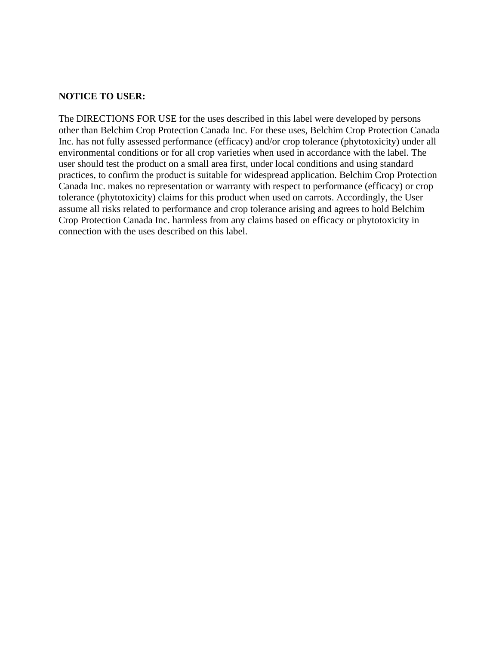#### **NOTICE TO USER:**

The DIRECTIONS FOR USE for the uses described in this label were developed by persons other than Belchim Crop Protection Canada Inc. For these uses, Belchim Crop Protection Canada Inc. has not fully assessed performance (efficacy) and/or crop tolerance (phytotoxicity) under all environmental conditions or for all crop varieties when used in accordance with the label. The user should test the product on a small area first, under local conditions and using standard practices, to confirm the product is suitable for widespread application. Belchim Crop Protection Canada Inc. makes no representation or warranty with respect to performance (efficacy) or crop tolerance (phytotoxicity) claims for this product when used on carrots. Accordingly, the User assume all risks related to performance and crop tolerance arising and agrees to hold Belchim Crop Protection Canada Inc. harmless from any claims based on efficacy or phytotoxicity in connection with the uses described on this label.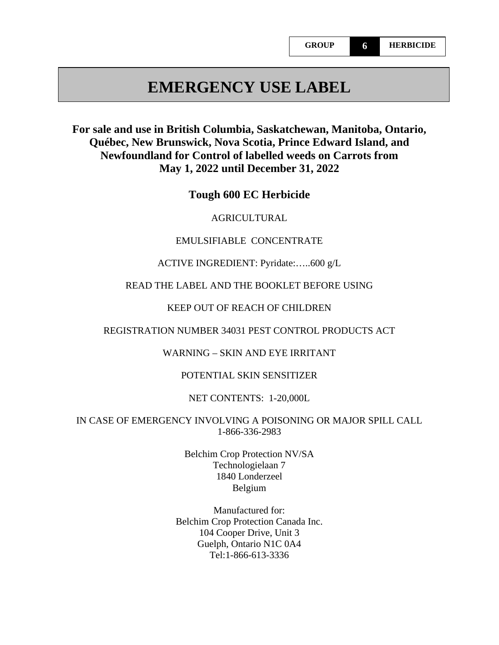# **EMERGENCY USE LABEL**

# **For sale and use in British Columbia, Saskatchewan, Manitoba, Ontario, Québec, New Brunswick, Nova Scotia, Prince Edward Island, and Newfoundland for Control of labelled weeds on Carrots from May 1, 2022 until December 31, 2022**

**Tough 600 EC Herbicide**

#### AGRICULTURAL

#### EMULSIFIABLE CONCENTRATE

#### ACTIVE INGREDIENT: Pyridate:…..600 g/L

#### READ THE LABEL AND THE BOOKLET BEFORE USING

#### KEEP OUT OF REACH OF CHILDREN

#### REGISTRATION NUMBER 34031 PEST CONTROL PRODUCTS ACT

#### WARNING – SKIN AND EYE IRRITANT

#### POTENTIAL SKIN SENSITIZER

#### NET CONTENTS: 1-20,000L

#### IN CASE OF EMERGENCY INVOLVING A POISONING OR MAJOR SPILL CALL 1-866-336-2983

#### Belchim Crop Protection NV/SA Technologielaan 7 1840 Londerzeel Belgium

### Manufactured for: Belchim Crop Protection Canada Inc. 104 Cooper Drive, Unit 3 Guelph, Ontario N1C 0A4 Tel:1-866-613-3336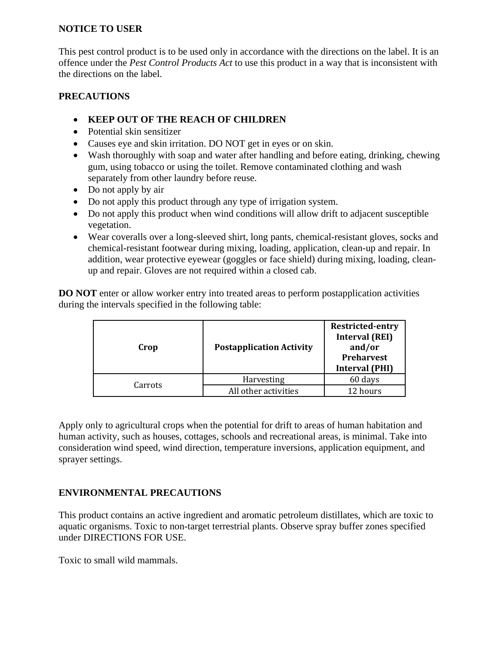## **NOTICE TO USER**

This pest control product is to be used only in accordance with the directions on the label. It is an offence under the *Pest Control Products Act* to use this product in a way that is inconsistent with the directions on the label.

## **PRECAUTIONS**

- **KEEP OUT OF THE REACH OF CHILDREN**
- Potential skin sensitizer
- Causes eye and skin irritation. DO NOT get in eyes or on skin.
- Wash thoroughly with soap and water after handling and before eating, drinking, chewing gum, using tobacco or using the toilet. Remove contaminated clothing and wash separately from other laundry before reuse.
- Do not apply by air
- Do not apply this product through any type of irrigation system.
- Do not apply this product when wind conditions will allow drift to adjacent susceptible vegetation.
- Wear coveralls over a long-sleeved shirt, long pants, chemical-resistant gloves, socks and chemical-resistant footwear during mixing, loading, application, clean-up and repair. In addition, wear protective eyewear (goggles or face shield) during mixing, loading, cleanup and repair. Gloves are not required within a closed cab.

**DO NOT** enter or allow worker entry into treated areas to perform postapplication activities during the intervals specified in the following table:

| Crop    | <b>Postapplication Activity</b> | <b>Restricted-entry</b><br><b>Interval (REI)</b><br>and/or<br><b>Preharvest</b><br><b>Interval (PHI)</b> |  |
|---------|---------------------------------|----------------------------------------------------------------------------------------------------------|--|
| Carrots | Harvesting                      | 60 days                                                                                                  |  |
|         | All other activities            | 12 hours                                                                                                 |  |

Apply only to agricultural crops when the potential for drift to areas of human habitation and human activity, such as houses, cottages, schools and recreational areas, is minimal. Take into consideration wind speed, wind direction, temperature inversions, application equipment, and sprayer settings.

# **ENVIRONMENTAL PRECAUTIONS**

This product contains an active ingredient and aromatic petroleum distillates, which are toxic to aquatic organisms. Toxic to non-target terrestrial plants. Observe spray buffer zones specified under DIRECTIONS FOR USE.

Toxic to small wild mammals.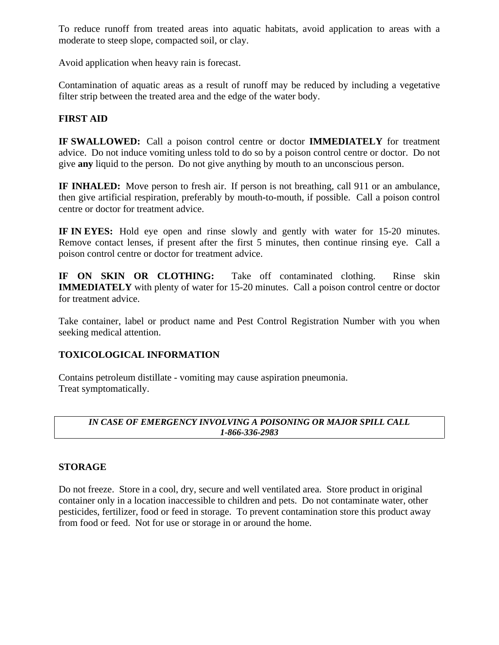To reduce runoff from treated areas into aquatic habitats, avoid application to areas with a moderate to steep slope, compacted soil, or clay.

Avoid application when heavy rain is forecast.

Contamination of aquatic areas as a result of runoff may be reduced by including a vegetative filter strip between the treated area and the edge of the water body.

# **FIRST AID**

**IF SWALLOWED:** Call a poison control centre or doctor **IMMEDIATELY** for treatment advice.Do not induce vomiting unless told to do so by a poison control centre or doctor.Do not give **any** liquid to the person.Do not give anything by mouth to an unconscious person.

**IF INHALED:** Move person to fresh air. If person is not breathing, call 911 or an ambulance, then give artificial respiration, preferably by mouth-to-mouth, if possible. Call a poison control centre or doctor for treatment advice.

**IF IN EYES:** Hold eye open and rinse slowly and gently with water for 15-20 minutes. Remove contact lenses, if present after the first 5 minutes, then continue rinsing eye.Call a poison control centre or doctor for treatment advice.

**IF ON SKIN OR CLOTHING:** Take off contaminated clothing. Rinse skin **IMMEDIATELY** with plenty of water for 15-20 minutes. Call a poison control centre or doctor for treatment advice.

Take container, label or product name and Pest Control Registration Number with you when seeking medical attention.

## **TOXICOLOGICAL INFORMATION**

Contains petroleum distillate - vomiting may cause aspiration pneumonia. Treat symptomatically.

#### *IN CASE OF EMERGENCY INVOLVING A POISONING OR MAJOR SPILL CALL 1-866-336-2983*

## **STORAGE**

Do not freeze. Store in a cool, dry, secure and well ventilated area. Store product in original container only in a location inaccessible to children and pets. Do not contaminate water, other pesticides, fertilizer, food or feed in storage. To prevent contamination store this product away from food or feed. Not for use or storage in or around the home.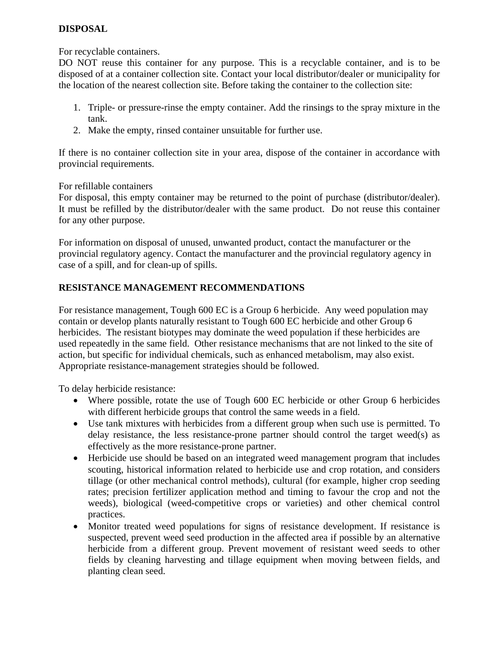# **DISPOSAL**

For recyclable containers.

DO NOT reuse this container for any purpose. This is a recyclable container, and is to be disposed of at a container collection site. Contact your local distributor/dealer or municipality for the location of the nearest collection site. Before taking the container to the collection site:

- 1. Triple- or pressure-rinse the empty container. Add the rinsings to the spray mixture in the tank.
- 2. Make the empty, rinsed container unsuitable for further use.

If there is no container collection site in your area, dispose of the container in accordance with provincial requirements.

For refillable containers

For disposal, this empty container may be returned to the point of purchase (distributor/dealer). It must be refilled by the distributor/dealer with the same product. Do not reuse this container for any other purpose.

For information on disposal of unused, unwanted product, contact the manufacturer or the provincial regulatory agency. Contact the manufacturer and the provincial regulatory agency in case of a spill, and for clean-up of spills.

# **RESISTANCE MANAGEMENT RECOMMENDATIONS**

For resistance management, Tough 600 EC is a Group 6 herbicide. Any weed population may contain or develop plants naturally resistant to Tough 600 EC herbicide and other Group 6 herbicides. The resistant biotypes may dominate the weed population if these herbicides are used repeatedly in the same field. Other resistance mechanisms that are not linked to the site of action, but specific for individual chemicals, such as enhanced metabolism, may also exist. Appropriate resistance-management strategies should be followed.

To delay herbicide resistance:

- Where possible, rotate the use of Tough 600 EC herbicide or other Group 6 herbicides with different herbicide groups that control the same weeds in a field.
- Use tank mixtures with herbicides from a different group when such use is permitted. To delay resistance, the less resistance-prone partner should control the target weed(s) as effectively as the more resistance-prone partner.
- Herbicide use should be based on an integrated weed management program that includes scouting, historical information related to herbicide use and crop rotation, and considers tillage (or other mechanical control methods), cultural (for example, higher crop seeding rates; precision fertilizer application method and timing to favour the crop and not the weeds), biological (weed-competitive crops or varieties) and other chemical control practices.
- Monitor treated weed populations for signs of resistance development. If resistance is suspected, prevent weed seed production in the affected area if possible by an alternative herbicide from a different group. Prevent movement of resistant weed seeds to other fields by cleaning harvesting and tillage equipment when moving between fields, and planting clean seed.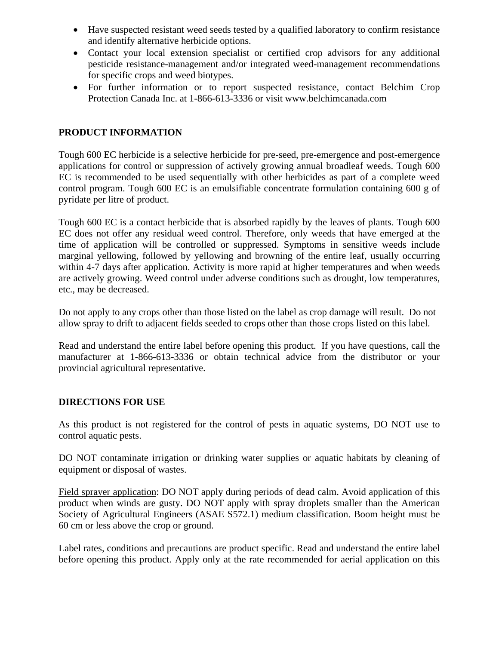- Have suspected resistant weed seeds tested by a qualified laboratory to confirm resistance and identify alternative herbicide options.
- Contact your local extension specialist or certified crop advisors for any additional pesticide resistance-management and/or integrated weed-management recommendations for specific crops and weed biotypes.
- For further information or to report suspected resistance, contact Belchim Crop Protection Canada Inc. at 1-866-613-3336 or visit www.belchimcanada.com

## **PRODUCT INFORMATION**

Tough 600 EC herbicide is a selective herbicide for pre-seed, pre-emergence and post-emergence applications for control or suppression of actively growing annual broadleaf weeds. Tough 600 EC is recommended to be used sequentially with other herbicides as part of a complete weed control program. Tough 600 EC is an emulsifiable concentrate formulation containing 600 g of pyridate per litre of product.

Tough 600 EC is a contact herbicide that is absorbed rapidly by the leaves of plants. Tough 600 EC does not offer any residual weed control. Therefore, only weeds that have emerged at the time of application will be controlled or suppressed. Symptoms in sensitive weeds include marginal yellowing, followed by yellowing and browning of the entire leaf, usually occurring within 4-7 days after application. Activity is more rapid at higher temperatures and when weeds are actively growing. Weed control under adverse conditions such as drought, low temperatures, etc., may be decreased.

Do not apply to any crops other than those listed on the label as crop damage will result. Do not allow spray to drift to adjacent fields seeded to crops other than those crops listed on this label.

Read and understand the entire label before opening this product. If you have questions, call the manufacturer at 1-866-613-3336 or obtain technical advice from the distributor or your provincial agricultural representative.

## **DIRECTIONS FOR USE**

As this product is not registered for the control of pests in aquatic systems, DO NOT use to control aquatic pests.

DO NOT contaminate irrigation or drinking water supplies or aquatic habitats by cleaning of equipment or disposal of wastes.

Field sprayer application: DO NOT apply during periods of dead calm. Avoid application of this product when winds are gusty. DO NOT apply with spray droplets smaller than the American Society of Agricultural Engineers (ASAE S572.1) medium classification. Boom height must be 60 cm or less above the crop or ground.

Label rates, conditions and precautions are product specific. Read and understand the entire label before opening this product. Apply only at the rate recommended for aerial application on this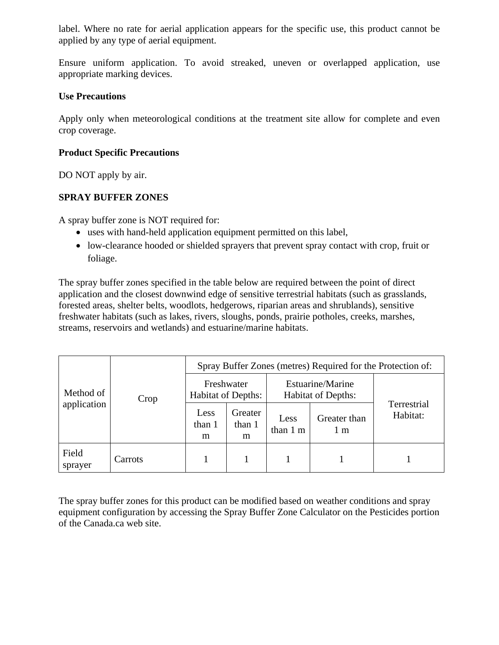label. Where no rate for aerial application appears for the specific use, this product cannot be applied by any type of aerial equipment.

Ensure uniform application. To avoid streaked, uneven or overlapped application, use appropriate marking devices.

### **Use Precautions**

Apply only when meteorological conditions at the treatment site allow for complete and even crop coverage.

### **Product Specific Precautions**

DO NOT apply by air.

## **SPRAY BUFFER ZONES**

A spray buffer zone is NOT required for:

- uses with hand-held application equipment permitted on this label,
- low-clearance hooded or shielded sprayers that prevent spray contact with crop, fruit or foliage.

The spray buffer zones specified in the table below are required between the point of direct application and the closest downwind edge of sensitive terrestrial habitats (such as grasslands, forested areas, shelter belts, woodlots, hedgerows, riparian areas and shrublands), sensitive freshwater habitats (such as lakes, rivers, sloughs, ponds, prairie potholes, creeks, marshes, streams, reservoirs and wetlands) and estuarine/marine habitats.

| Method of<br>application | Crop    | Spray Buffer Zones (metres) Required for the Protection of: |                        |                                               |                     |                         |  |  |
|--------------------------|---------|-------------------------------------------------------------|------------------------|-----------------------------------------------|---------------------|-------------------------|--|--|
|                          |         | Freshwater<br><b>Habitat of Depths:</b>                     |                        | Estuarine/Marine<br><b>Habitat of Depths:</b> |                     |                         |  |  |
|                          |         | Less<br>than 1<br>m                                         | Greater<br>than 1<br>m | Less<br>than 1 m                              | Greater than<br>1 m | Terrestrial<br>Habitat: |  |  |
| Field<br>sprayer         | Carrots |                                                             |                        |                                               |                     |                         |  |  |

The spray buffer zones for this product can be modified based on weather conditions and spray equipment configuration by accessing the Spray Buffer Zone Calculator on the Pesticides portion of the Canada.ca web site.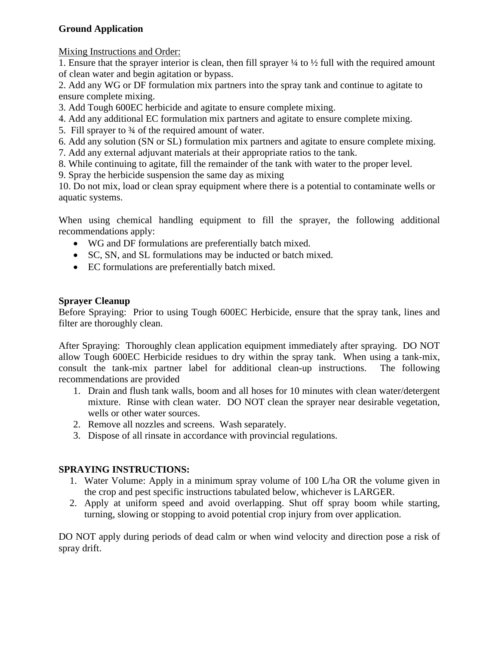# **Ground Application**

Mixing Instructions and Order:

1. Ensure that the sprayer interior is clean, then fill sprayer  $\frac{1}{4}$  to  $\frac{1}{2}$  full with the required amount of clean water and begin agitation or bypass.

2. Add any WG or DF formulation mix partners into the spray tank and continue to agitate to ensure complete mixing.

3. Add Tough 600EC herbicide and agitate to ensure complete mixing.

- 4. Add any additional EC formulation mix partners and agitate to ensure complete mixing.
- 5. Fill sprayer to 3⁄4 of the required amount of water.
- 6. Add any solution (SN or SL) formulation mix partners and agitate to ensure complete mixing.
- 7. Add any external adjuvant materials at their appropriate ratios to the tank.

8. While continuing to agitate, fill the remainder of the tank with water to the proper level.

9. Spray the herbicide suspension the same day as mixing

10. Do not mix, load or clean spray equipment where there is a potential to contaminate wells or aquatic systems.

When using chemical handling equipment to fill the sprayer, the following additional recommendations apply:

- WG and DF formulations are preferentially batch mixed.
- SC, SN, and SL formulations may be inducted or batch mixed.
- EC formulations are preferentially batch mixed.

# **Sprayer Cleanup**

Before Spraying: Prior to using Tough 600EC Herbicide, ensure that the spray tank, lines and filter are thoroughly clean.

After Spraying: Thoroughly clean application equipment immediately after spraying. DO NOT allow Tough 600EC Herbicide residues to dry within the spray tank. When using a tank-mix, consult the tank-mix partner label for additional clean-up instructions. The following recommendations are provided

- 1. Drain and flush tank walls, boom and all hoses for 10 minutes with clean water/detergent mixture. Rinse with clean water. DO NOT clean the sprayer near desirable vegetation, wells or other water sources.
- 2. Remove all nozzles and screens. Wash separately.
- 3. Dispose of all rinsate in accordance with provincial regulations.

## **SPRAYING INSTRUCTIONS:**

- 1. Water Volume: Apply in a minimum spray volume of 100 L/ha OR the volume given in the crop and pest specific instructions tabulated below, whichever is LARGER.
- 2. Apply at uniform speed and avoid overlapping. Shut off spray boom while starting, turning, slowing or stopping to avoid potential crop injury from over application.

DO NOT apply during periods of dead calm or when wind velocity and direction pose a risk of spray drift.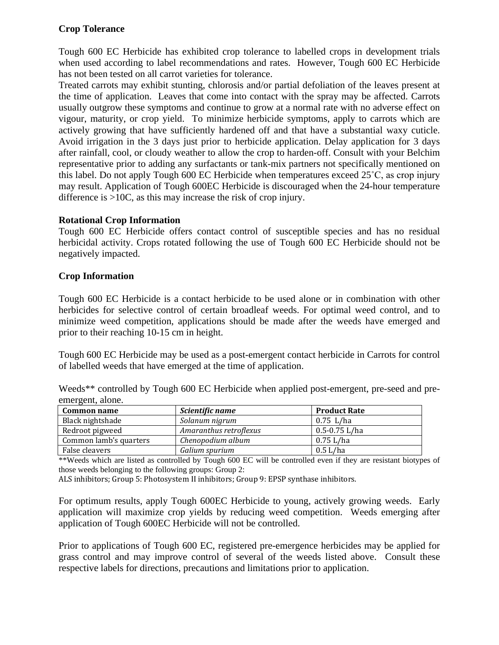## **Crop Tolerance**

Tough 600 EC Herbicide has exhibited crop tolerance to labelled crops in development trials when used according to label recommendations and rates. However, Tough 600 EC Herbicide has not been tested on all carrot varieties for tolerance.

Treated carrots may exhibit stunting, chlorosis and/or partial defoliation of the leaves present at the time of application. Leaves that come into contact with the spray may be affected. Carrots usually outgrow these symptoms and continue to grow at a normal rate with no adverse effect on vigour, maturity, or crop yield. To minimize herbicide symptoms, apply to carrots which are actively growing that have sufficiently hardened off and that have a substantial waxy cuticle. Avoid irrigation in the 3 days just prior to herbicide application. Delay application for 3 days after rainfall, cool, or cloudy weather to allow the crop to harden-off. Consult with your Belchim representative prior to adding any surfactants or tank-mix partners not specifically mentioned on this label. Do not apply Tough 600 EC Herbicide when temperatures exceed 25˚C, as crop injury may result. Application of Tough 600EC Herbicide is discouraged when the 24-hour temperature difference is >10C, as this may increase the risk of crop injury.

#### **Rotational Crop Information**

Tough 600 EC Herbicide offers contact control of susceptible species and has no residual herbicidal activity. Crops rotated following the use of Tough 600 EC Herbicide should not be negatively impacted.

#### **Crop Information**

Tough 600 EC Herbicide is a contact herbicide to be used alone or in combination with other herbicides for selective control of certain broadleaf weeds. For optimal weed control, and to minimize weed competition, applications should be made after the weeds have emerged and prior to their reaching 10-15 cm in height.

Tough 600 EC Herbicide may be used as a post-emergent contact herbicide in Carrots for control of labelled weeds that have emerged at the time of application.

|                  |  |  | Weeds** controlled by Tough 600 EC Herbicide when applied post-emergent, pre-seed and pre- |  |
|------------------|--|--|--------------------------------------------------------------------------------------------|--|
| emergent, alone. |  |  |                                                                                            |  |

| Common name            | Scientific name        | <b>Product Rate</b> |
|------------------------|------------------------|---------------------|
| Black nightshade       | Solanum nigrum         | $0.75$ L/ha         |
| Redroot pigweed        | Amaranthus retroflexus | $0.5 - 0.75$ L/ha   |
| Common lamb's quarters | Chenopodium album      | $0.75$ L/ha         |
| False cleavers         | Galium spurium         | $0.5$ L/ha          |

\*\*Weeds which are listed as controlled by Tough 600 EC will be controlled even if they are resistant biotypes of those weeds belonging to the following groups: Group 2:

ALS inhibitors; Group 5: Photosystem II inhibitors; Group 9: EPSP synthase inhibitors.

For optimum results, apply Tough 600EC Herbicide to young, actively growing weeds. Early application will maximize crop yields by reducing weed competition. Weeds emerging after application of Tough 600EC Herbicide will not be controlled.

Prior to applications of Tough 600 EC, registered pre-emergence herbicides may be applied for grass control and may improve control of several of the weeds listed above. Consult these respective labels for directions, precautions and limitations prior to application.